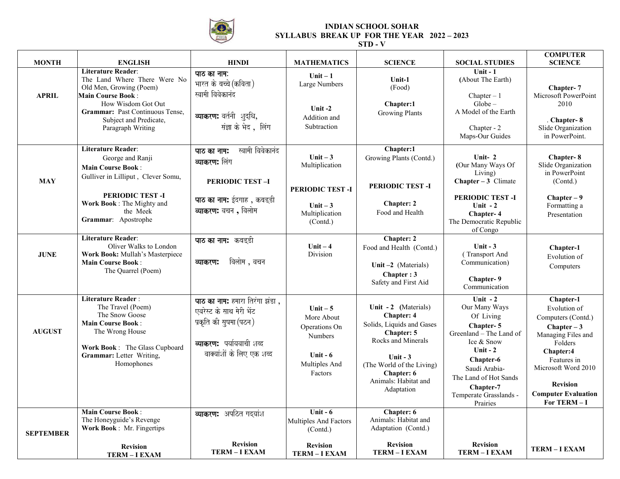

## **INDIAN SCHOOL SOHAR SYLLABUS BREAK UP FOR THE YEAR 2022 – 2023**

**STD - V** 

| <b>MONTH</b>     | <b>ENGLISH</b>                                                                                                                                                                                                                  | <b>HINDI</b>                                                                                                                                   | <b>MATHEMATICS</b>                                                                                  | <b>SCIENCE</b>                                                                                                                                                                                                         | <b>SOCIAL STUDIES</b>                                                                                                                                                                                                | <b>COMPUTER</b><br><b>SCIENCE</b>                                                                                                                                                                                   |
|------------------|---------------------------------------------------------------------------------------------------------------------------------------------------------------------------------------------------------------------------------|------------------------------------------------------------------------------------------------------------------------------------------------|-----------------------------------------------------------------------------------------------------|------------------------------------------------------------------------------------------------------------------------------------------------------------------------------------------------------------------------|----------------------------------------------------------------------------------------------------------------------------------------------------------------------------------------------------------------------|---------------------------------------------------------------------------------------------------------------------------------------------------------------------------------------------------------------------|
| <b>APRIL</b>     | <b>Literature Reader:</b><br>The Land Where There Were No<br>Old Men, Growing (Poem)<br><b>Main Course Book:</b><br>How Wisdom Got Out<br><b>Grammar:</b> Past Continuous Tense,<br>Subject and Predicate,<br>Paragraph Writing | पाठ का नाम:<br>भारत के बच्चे (कविता)<br>स्वामी विवेकानंद<br>व्याकरण: वर्तनी शुद्धि,<br>संज्ञा के भेद , लिंग                                    | $Unit - 1$<br>Large Numbers<br>Unit $-2$<br>Addition and<br>Subtraction                             | Unit-1<br>(Food)<br>Chapter:1<br><b>Growing Plants</b>                                                                                                                                                                 | Unit $-1$<br>(About The Earth)<br>Chapter $-1$<br>$Globe-$<br>A Model of the Earth<br>Chapter - 2<br>Maps-Our Guides                                                                                                 | Chapter-7<br>Microsoft PowerPoint<br>2010<br>Chapter-8<br>Slide Organization<br>in PowerPoint.                                                                                                                      |
| <b>MAY</b>       | <b>Literature Reader:</b><br>George and Ranji<br><b>Main Course Book:</b><br>Gulliver in Lilliput, Clever Somu,<br>PERIODIC TEST-I<br>Work Book: The Mighty and<br>the Meek<br>Grammar: Apostrophe                              | स्वामी विवेकानंद<br>पाठ का नाम:<br>व्याकरण: लिंग<br><b>PERIODIC TEST-I</b><br>पाठ का नाम: ईदगाह <i>,</i> कबइडी<br>व्याकरण: वचन, विलोम          | Unit $-3$<br>Multiplication<br>PERIODIC TEST-I<br>Unit $-3$<br>Multiplication<br>(Contd.)           | Chapter:1<br>Growing Plants (Contd.)<br>PERIODIC TEST-I<br><b>Chapter: 2</b><br>Food and Health                                                                                                                        | Unit- $2$<br>(Our Many Ways Of<br>Living)<br>Chapter $-3$ Climate<br>PERIODIC TEST-I<br>Unit $-2$<br>Chapter-4<br>The Democratic Republic<br>of Congo                                                                | Chapter-8<br>Slide Organization<br>in PowerPoint<br>(Contd.)<br>$Chapter - 9$<br>Formatting a<br>Presentation                                                                                                       |
| <b>JUNE</b>      | <b>Literature Reader:</b><br>Oliver Walks to London<br>Work Book: Mullah's Masterpiece<br><b>Main Course Book:</b><br>The Quarrel (Poem)                                                                                        | पाठ का नाम: कबड़डी<br>विलोम, वचन<br>व्याकरण:                                                                                                   | Unit $-4$<br>Division                                                                               | Chapter: 2<br>Food and Health (Contd.)<br>Unit $-2$ (Materials)<br>Chapter: 3<br>Safety and First Aid                                                                                                                  | Unit $-3$<br>(Transport And<br>Communication)<br>Chapter-9<br>Communication                                                                                                                                          | Chapter-1<br>Evolution of<br>Computers                                                                                                                                                                              |
| <b>AUGUST</b>    | <b>Literature Reader:</b><br>The Travel (Poem)<br>The Snow Goose<br><b>Main Course Book:</b><br>The Wrong House<br>Work Book: The Glass Cupboard<br>Grammar: Letter Writing,<br>Homophones                                      | पाठ का नाम: हमारा तिरंगा झंडा ,<br>एवरेस्ट के साथ मेरी भेंट<br>प्रकृति की सुषमा (पठन)<br>व्याकरण: पर्यायवाची शब्द<br>वाक्यांशों के लिए एक शब्द | Unit $-5$<br>More About<br>Operations On<br><b>Numbers</b><br>Unit $-6$<br>Multiples And<br>Factors | Unit - 2 (Materials)<br><b>Chapter: 4</b><br>Solids, Liquids and Gases<br><b>Chapter: 5</b><br>Rocks and Minerals<br>Unit $-3$<br>(The World of the Living)<br><b>Chapter: 6</b><br>Animals: Habitat and<br>Adaptation | Unit $-2$<br>Our Many Ways<br>Of Living<br>Chapter-5<br>Greenland - The Land of<br>Ice & Snow<br>Unit $-2$<br>Chapter-6<br>Saudi Arabia-<br>The Land of Hot Sands<br>Chapter-7<br>Temperate Grasslands -<br>Prairies | Chapter-1<br>Evolution of<br>Computers (Contd.)<br>$Chapter - 3$<br>Managing Files and<br>Folders<br>Chapter:4<br>Features in<br>Microsoft Word 2010<br><b>Revision</b><br><b>Computer Evaluation</b><br>For TERM-I |
| <b>SEPTEMBER</b> | <b>Main Course Book:</b><br>The Honeyguide's Revenge<br><b>Work Book: Mr. Fingertips</b><br><b>Revision</b><br><b>TERM-I EXAM</b>                                                                                               | व्याकरण: अपठित गदयांश<br><b>Revision</b><br><b>TERM-I EXAM</b>                                                                                 | Unit - $6$<br>Multiples And Factors<br>(Contd.)<br><b>Revision</b><br><b>TERM-I EXAM</b>            | Chapter: 6<br>Animals: Habitat and<br>Adaptation (Contd.)<br><b>Revision</b><br><b>TERM - I EXAM</b>                                                                                                                   | <b>Revision</b><br><b>TERM - I EXAM</b>                                                                                                                                                                              | <b>TERM-I EXAM</b>                                                                                                                                                                                                  |